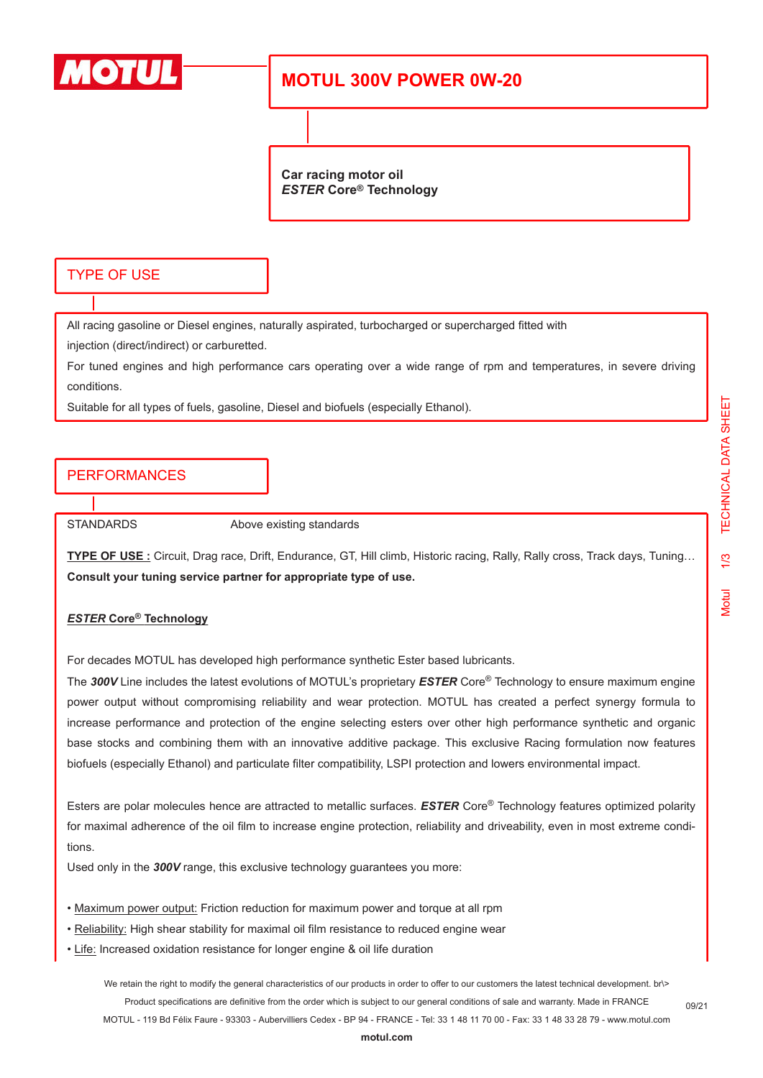

# **MOTUL 300V POWER 0W-20**

**Car racing motor oil** *ESTER* **Core® Technology**

#### TYPE OF USE

All racing gasoline or Diesel engines, naturally aspirated, turbocharged or supercharged fitted with

injection (direct/indirect) or carburetted.

For tuned engines and high performance cars operating over a wide range of rpm and temperatures, in severe driving conditions.

Suitable for all types of fuels, gasoline, Diesel and biofuels (especially Ethanol).

## PERFORMANCES

STANDARDS Above existing standards

**TYPE OF USE :** Circuit, Drag race, Drift, Endurance, GT, Hill climb, Historic racing, Rally, Rally cross, Track days, Tuning… **Consult your tuning service partner for appropriate type of use.**

#### *ESTER* **Core® Technology**

For decades MOTUL has developed high performance synthetic Ester based lubricants.

The *300V* Line includes the latest evolutions of MOTUL's proprietary *ESTER* Core® Technology to ensure maximum engine power output without compromising reliability and wear protection. MOTUL has created a perfect synergy formula to increase performance and protection of the engine selecting esters over other high performance synthetic and organic base stocks and combining them with an innovative additive package. This exclusive Racing formulation now features biofuels (especially Ethanol) and particulate filter compatibility, LSPI protection and lowers environmental impact.

Esters are polar molecules hence are attracted to metallic surfaces. *ESTER* Core® Technology features optimized polarity for maximal adherence of the oil film to increase engine protection, reliability and driveability, even in most extreme conditions.

Used only in the *300V* range, this exclusive technology guarantees you more:

- Maximum power output: Friction reduction for maximum power and torque at all rpm
- Reliability: High shear stability for maximal oil film resistance to reduced engine wear
- Life: Increased oxidation resistance for longer engine & oil life duration

We retain the right to modify the general characteristics of our products in order to offer to our customers the latest technical development. br\> Product specifications are definitive from the order which is subject to our general conditions of sale and warranty. Made in FRANCE MOTUL - 119 Bd Félix Faure - 93303 - Aubervilliers Cedex - BP 94 - FRANCE - Tel: 33 1 48 11 70 00 - Fax: 33 1 48 33 28 79 - www.motul.com

09/21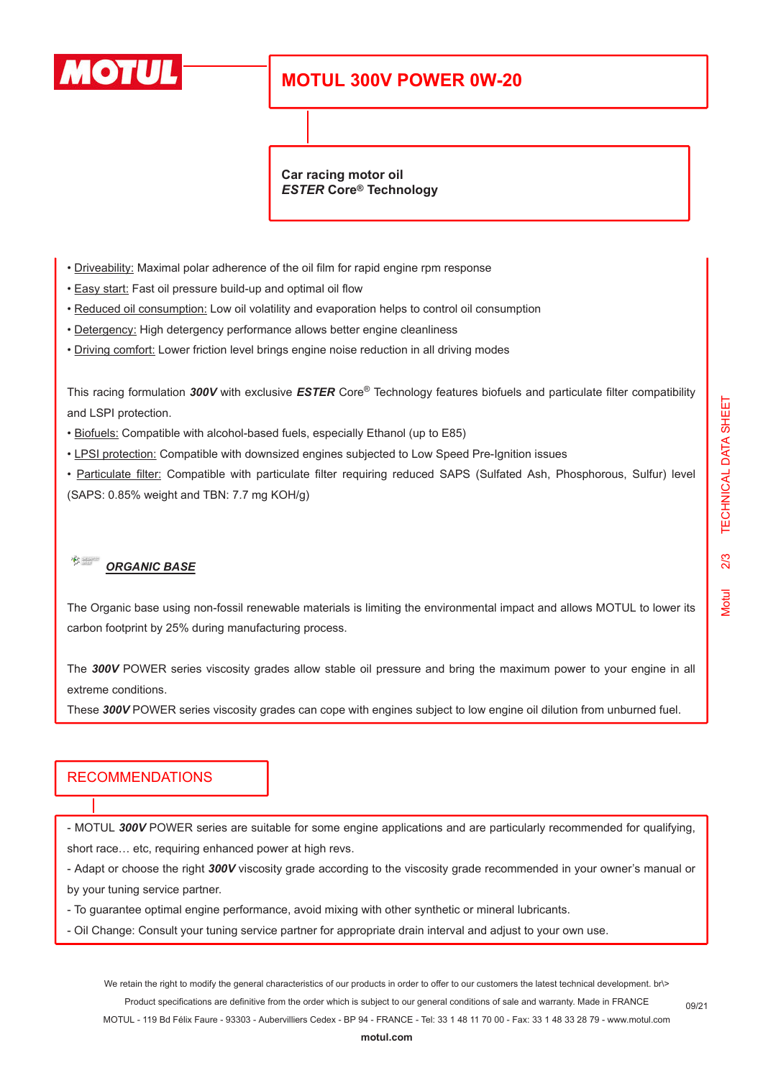

# **MOTUL 300V POWER 0W-20**

**Car racing motor oil** *ESTER* **Core® Technology**

- Driveability: Maximal polar adherence of the oil film for rapid engine rpm response
- Easy start: Fast oil pressure build-up and optimal oil flow
- Reduced oil consumption: Low oil volatility and evaporation helps to control oil consumption
- Detergency: High detergency performance allows better engine cleanliness
- Driving comfort: Lower friction level brings engine noise reduction in all driving modes

This racing formulation *300V* with exclusive *ESTER* Core® Technology features biofuels and particulate filter compatibility and LSPI protection.

- Biofuels: Compatible with alcohol-based fuels, especially Ethanol (up to E85)
- LPSI protection: Compatible with downsized engines subjected to Low Speed Pre-Ignition issues

• Particulate filter: Compatible with particulate filter requiring reduced SAPS (Sulfated Ash, Phosphorous, Sulfur) level (SAPS: 0.85% weight and TBN: 7.7 mg KOH/g)

#### $\frac{1}{\sqrt{2}}$ *ORGANIC BASE*

The Organic base using non-fossil renewable materials is limiting the environmental impact and allows MOTUL to lower its carbon footprint by 25% during manufacturing process.

The *300V* POWER series viscosity grades allow stable oil pressure and bring the maximum power to your engine in all extreme conditions.

These *300V* POWER series viscosity grades can cope with engines subject to low engine oil dilution from unburned fuel.

### RECOMMENDATIONS

- MOTUL *300V* POWER series are suitable for some engine applications and are particularly recommended for qualifying, short race… etc, requiring enhanced power at high revs.

- Adapt or choose the right *300V* viscosity grade according to the viscosity grade recommended in your owner's manual or by your tuning service partner.

- To guarantee optimal engine performance, avoid mixing with other synthetic or mineral lubricants.

- Oil Change: Consult your tuning service partner for appropriate drain interval and adjust to your own use.

We retain the right to modify the general characteristics of our products in order to offer to our customers the latest technical development. br\> Product specifications are definitive from the order which is subject to our general conditions of sale and warranty. Made in FRANCE MOTUL - 119 Bd Félix Faure - 93303 - Aubervilliers Cedex - BP 94 - FRANCE - Tel: 33 1 48 11 70 00 - Fax: 33 1 48 33 28 79 - www.motul.com